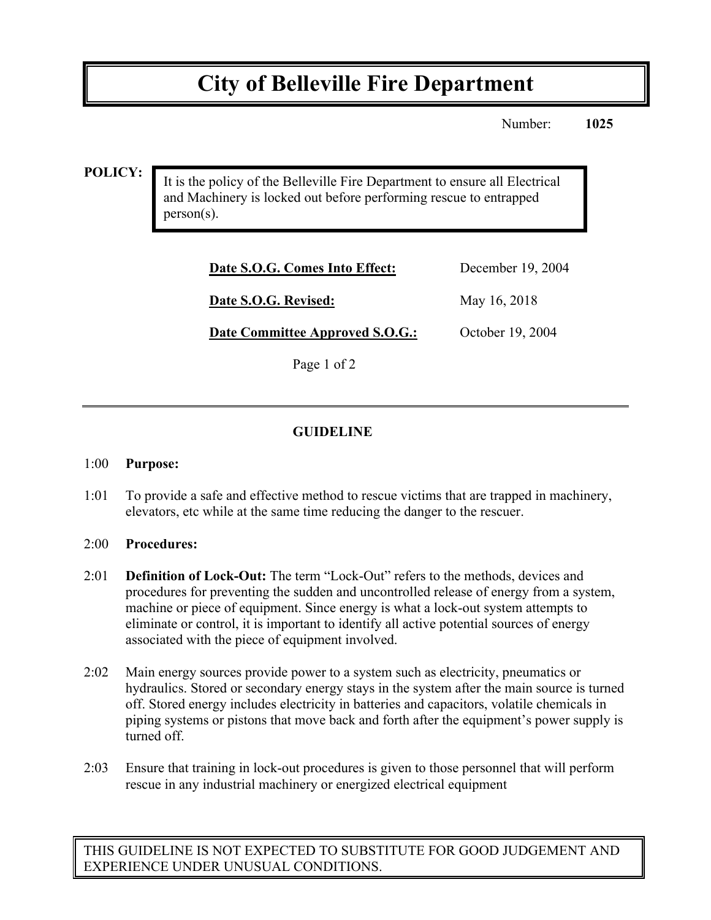# **City of Belleville Fire Department**

Number: **1025**

### **POLICY:**

It is the policy of the Belleville Fire Department to ensure all Electrical and Machinery is locked out before performing rescue to entrapped person(s).

| Date S.O.G. Comes Into Effect:  | December 19, 2004 |
|---------------------------------|-------------------|
| Date S.O.G. Revised:            | May 16, 2018      |
| Date Committee Approved S.O.G.: | October 19, 2004  |

Page 1 of 2

## **GUIDELINE**

#### 1:00 **Purpose:**

1:01 To provide a safe and effective method to rescue victims that are trapped in machinery, elevators, etc while at the same time reducing the danger to the rescuer.

#### 2:00 **Procedures:**

- 2:01 **Definition of Lock-Out:** The term "Lock-Out" refers to the methods, devices and procedures for preventing the sudden and uncontrolled release of energy from a system, machine or piece of equipment. Since energy is what a lock-out system attempts to eliminate or control, it is important to identify all active potential sources of energy associated with the piece of equipment involved.
- 2:02 Main energy sources provide power to a system such as electricity, pneumatics or hydraulics. Stored or secondary energy stays in the system after the main source is turned off. Stored energy includes electricity in batteries and capacitors, volatile chemicals in piping systems or pistons that move back and forth after the equipment's power supply is turned off.
- 2:03 Ensure that training in lock-out procedures is given to those personnel that will perform rescue in any industrial machinery or energized electrical equipment

THIS GUIDELINE IS NOT EXPECTED TO SUBSTITUTE FOR GOOD JUDGEMENT AND EXPERIENCE UNDER UNUSUAL CONDITIONS.